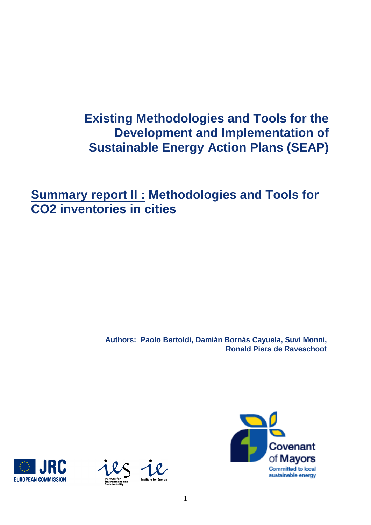# **Existing Methodologies and Tools for the Development and Implementation of Sustainable Energy Action Plans (SEAP)**

**Summary report II : Methodologies and Tools for CO2 inventories in cities** 

> **Authors: Paolo Bertoldi, Damián Bornás Cayuela, Suvi Monni, Ronald Piers de Raveschoot**





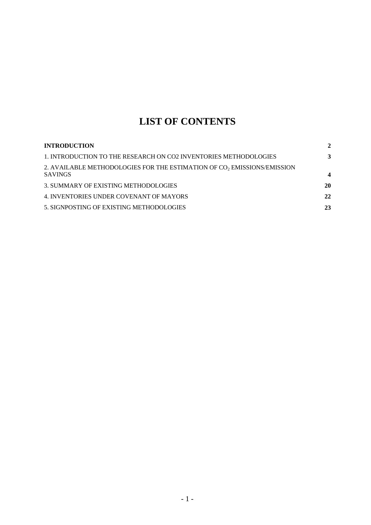## **LIST OF CONTENTS**

| <b>INTRODUCTION</b>                                                                                   | $\mathbf{2}$     |
|-------------------------------------------------------------------------------------------------------|------------------|
| 1. INTRODUCTION TO THE RESEARCH ON CO2 INVENTORIES METHODOLOGIES                                      | 3                |
| 2. AVAILABLE METHODOLOGIES FOR THE ESTIMATION OF CO <sub>2</sub> EMISSIONS/EMISSION<br><b>SAVINGS</b> | $\boldsymbol{4}$ |
| 3. SUMMARY OF EXISTING METHODOLOGIES                                                                  | 20               |
| 4. INVENTORIES UNDER COVENANT OF MAYORS                                                               | 22               |
| 5. SIGNPOSTING OF EXISTING METHODOLOGIES                                                              | 23               |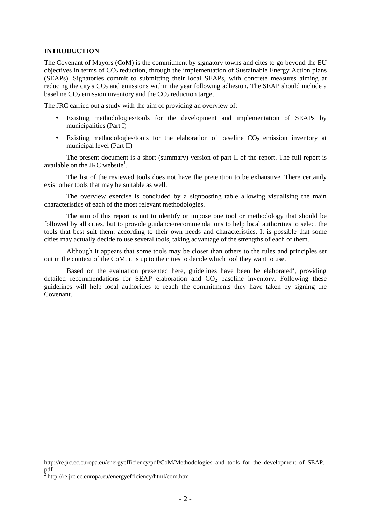## **INTRODUCTION**

The Covenant of Mayors (CoM) is the commitment by signatory towns and cites to go beyond the EU objectives in terms of  $CO<sub>2</sub>$  reduction, through the implementation of Sustainable Energy Action plans (SEAPs). Signatories commit to submitting their local SEAPs, with concrete measures aiming at reducing the city's  $CO_2$  and emissions within the year following adhesion. The SEAP should include a baseline  $CO<sub>2</sub>$  emission inventory and the  $CO<sub>2</sub>$  reduction target.

The JRC carried out a study with the aim of providing an overview of:

- Existing methodologies/tools for the development and implementation of SEAPs by municipalities (Part I)
- Existing methodologies/tools for the elaboration of baseline  $CO<sub>2</sub>$  emission inventory at municipal level (Part II)

The present document is a short (summary) version of part II of the report. The full report is available on the JRC website<sup>1</sup>.

The list of the reviewed tools does not have the pretention to be exhaustive. There certainly exist other tools that may be suitable as well.

The overview exercise is concluded by a signposting table allowing visualising the main characteristics of each of the most relevant methodologies.

The aim of this report is not to identify or impose one tool or methodology that should be followed by all cities, but to provide guidance/recommendations to help local authorities to select the tools that best suit them, according to their own needs and characteristics. It is possible that some cities may actually decide to use several tools, taking advantage of the strengths of each of them.

Although it appears that some tools may be closer than others to the rules and principles set out in the context of the CoM, it is up to the cities to decide which tool they want to use.

Based on the evaluation presented here, guidelines have been be elaborated<sup>2</sup>, providing detailed recommendations for SEAP elaboration and  $CO<sub>2</sub>$  baseline inventory. Following these guidelines will help local authorities to reach the commitments they have taken by signing the Covenant.

1

http://re.jrc.ec.europa.eu/energyefficiency/pdf/CoM/Methodologies\_and\_tools\_for\_the\_development\_of\_SEAP. pdf 2 http://re.jrc.ec.europa.eu/energyefficiency/html/com.htm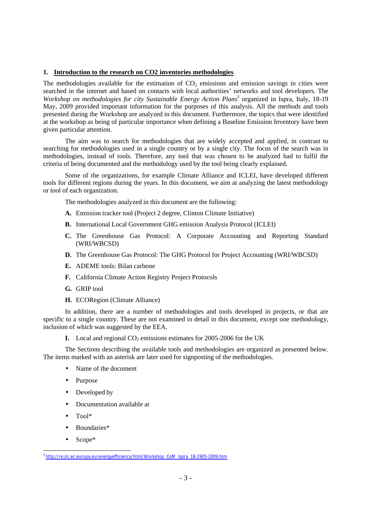## **1. Introduction to the research on CO2 inventories methodologies**

The methodologies available for the estimation of  $CO<sub>2</sub>$  emissions and emission savings in cities were searched in the internet and based on contacts with local authorities' networks and tool developers. The *Workshop on methodologies for city Sustainable Energy Action Plans<sup>3</sup>* organized in Ispra, Italy, 18-19 May, 2009 provided important information for the purposes of this analysis. All the methods and tools presented during the Workshop are analyzed in this document. Furthermore, the topics that were identified at the workshop as being of particular importance when defining a Baseline Emission Inventory have been given particular attention.

The aim was to search for methodologies that are widely accepted and applied, in contrast to searching for methodologies used in a single country or by a single city. The focus of the search was in methodologies, instead of tools. Therefore, any tool that was chosen to be analyzed had to fulfil the criteria of being documented and the methodology used by the tool being clearly explained.

Some of the organizations, for example Climate Alliance and ICLEI, have developed different tools for different regions during the years. In this document, we aim at analyzing the latest methodology or tool of each organization.

The methodologies analyzed in this document are the following:

- **A.** Emission tracker tool (Project 2 degree, Clinton Climate Initiative)
- **B.** International Local Government GHG emission Analysis Protocol (ICLEI)
- **C.** The Greenhouse Gas Protocol: A Corporate Accounting and Reporting Standard (WRI/WBCSD)
- **D.** The Greenhouse Gas Protocol: The GHG Protocol for Project Accounting (WRI/WBCSD)
- **E.** ADEME tools: Bilan carbone
- **F.** California Climate Action Registry Project Protocols
- **G.** GRIP tool
- **H.** ECORegion (Climate Alliance)

In addition, there are a number of methodologies and tools developed in projects, or that are specific to a single country. These are not examined in detail in this document, except one methodology, inclusion of which was suggested by the EEA.

**I.** Local and regional  $CO<sub>2</sub>$  emissions estimates for 2005-2006 for the UK

The Sections describing the available tools and methodologies are organized as presented below. The items marked with an asterisk are later used for signposting of the methodologies.

- Name of the document
- Purpose
- Developed by
- Documentation available at
- Tool\*
- Boundaries\*
- Scope<sup>\*</sup>

<sup>3</sup> http://re.jrc.ec.europa.eu/energyefficiency/html/Workshop\_CoM\_Ispra\_18-1905-2009.htm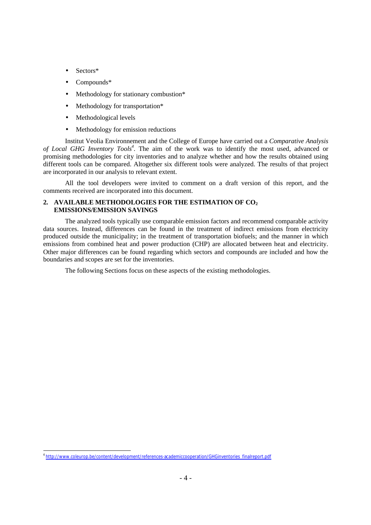- Sectors\*
- Compounds\*
- Methodology for stationary combustion\*
- Methodology for transportation\*
- Methodological levels
- Methodology for emission reductions

Institut Veolia Environnement and the College of Europe have carried out a *Comparative Analysis of Local GHG Inventory Tools<sup>4</sup>* . The aim of the work was to identify the most used, advanced or promising methodologies for city inventories and to analyze whether and how the results obtained using different tools can be compared. Altogether six different tools were analyzed. The results of that project are incorporated in our analysis to relevant extent.

All the tool developers were invited to comment on a draft version of this report, and the comments received are incorporated into this document.

## **2. AVAILABLE METHODOLOGIES FOR THE ESTIMATION OF CO<sup>2</sup> EMISSIONS/EMISSION SAVINGS**

The analyzed tools typically use comparable emission factors and recommend comparable activity data sources. Instead, differences can be found in the treatment of indirect emissions from electricity produced outside the municipality; in the treatment of transportation biofuels; and the manner in which emissions from combined heat and power production (CHP) are allocated between heat and electricity. Other major differences can be found regarding which sectors and compounds are included and how the boundaries and scopes are set for the inventories.

The following Sections focus on these aspects of the existing methodologies.

<sup>4</sup> http://www.coleurop.be/content/development/references-academiccooperation/GHGinventories\_finalreport.pdf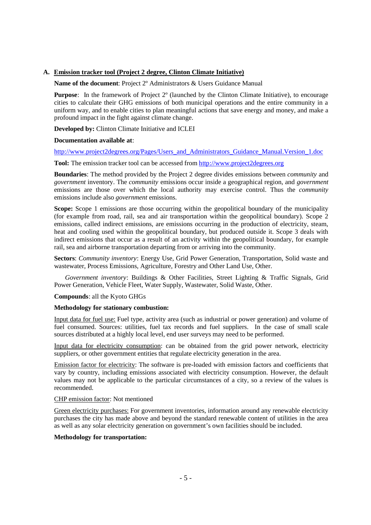#### **A. Emission tracker tool (Project 2 degree, Clinton Climate Initiative)**

#### **Name of the document**: Project 2º Administrators & Users Guidance Manual

**Purpose**: In the framework of Project 2º (launched by the Clinton Climate Initiative), to encourage cities to calculate their GHG emissions of both municipal operations and the entire community in a uniform way, and to enable cities to plan meaningful actions that save energy and money, and make a profound impact in the fight against climate change.

**Developed by:** Clinton Climate Initiative and ICLEI

#### **Documentation available at**:

http://www.project2degrees.org/Pages/Users\_and\_Administrators\_Guidance\_Manual.Version\_1.doc

**Tool:** The emission tracker tool can be accessed from http://www.project2degrees.org

**Boundaries**: The method provided by the Project 2 degree divides emissions between *community* and *government* inventory. The *community* emissions occur inside a geographical region, and *government* emissions are those over which the local authority may exercise control. Thus the *community* emissions include also *government* emissions.

**Scope:** Scope 1 emissions are those occurring within the geopolitical boundary of the municipality (for example from road, rail, sea and air transportation within the geopolitical boundary). Scope 2 emissions, called indirect emissions, are emissions occurring in the production of electricity, steam, heat and cooling used within the geopolitical boundary, but produced outside it. Scope 3 deals with indirect emissions that occur as a result of an activity within the geopolitical boundary, for example rail, sea and airborne transportation departing from or arriving into the community.

**Sectors**: *Community inventory*: Energy Use, Grid Power Generation, Transportation, Solid waste and wastewater, Process Emissions, Agriculture, Forestry and Other Land Use, Other.

*Government inventory*: Buildings & Other Facilities, Street Lighting & Traffic Signals, Grid Power Generation, Vehicle Fleet, Water Supply, Wastewater, Solid Waste, Other.

#### **Compounds**: all the Kyoto GHGs

#### **Methodology for stationary combustion:**

Input data for fuel use: Fuel type, activity area (such as industrial or power generation) and volume of fuel consumed. Sources: utilities, fuel tax records and fuel suppliers. In the case of small scale sources distributed at a highly local level, end user surveys may need to be performed.

Input data for electricity consumption: can be obtained from the grid power network, electricity suppliers, or other government entities that regulate electricity generation in the area.

Emission factor for electricity: The software is pre-loaded with emission factors and coefficients that vary by country, including emissions associated with electricity consumption. However, the default values may not be applicable to the particular circumstances of a city, so a review of the values is recommended.

CHP emission factor: Not mentioned

Green electricity purchases: For government inventories, information around any renewable electricity purchases the city has made above and beyond the standard renewable content of utilities in the area as well as any solar electricity generation on government's own facilities should be included.

#### **Methodology for transportation:**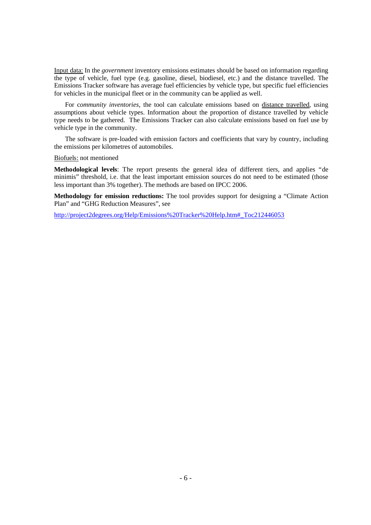Input data: In the *government* inventory emissions estimates should be based on information regarding the type of vehicle, fuel type (e.g. gasoline, diesel, biodiesel, etc.) and the distance travelled. The Emissions Tracker software has average fuel efficiencies by vehicle type, but specific fuel efficiencies for vehicles in the municipal fleet or in the community can be applied as well.

For c*ommunity inventories*, the tool can calculate emissions based on distance travelled, using assumptions about vehicle types. Information about the proportion of distance travelled by vehicle type needs to be gathered. The Emissions Tracker can also calculate emissions based on fuel use by vehicle type in the community.

The software is pre-loaded with emission factors and coefficients that vary by country, including the emissions per kilometres of automobiles.

#### Biofuels: not mentioned

**Methodological levels**: The report presents the general idea of different tiers, and applies "de minimis" threshold, i.e. that the least important emission sources do not need to be estimated (those less important than 3% together). The methods are based on IPCC 2006.

**Methodology for emission reductions:** The tool provides support for designing a "Climate Action Plan" and "GHG Reduction Measures", see

http://project2degrees.org/Help/Emissions%20Tracker%20Help.htm#\_Toc212446053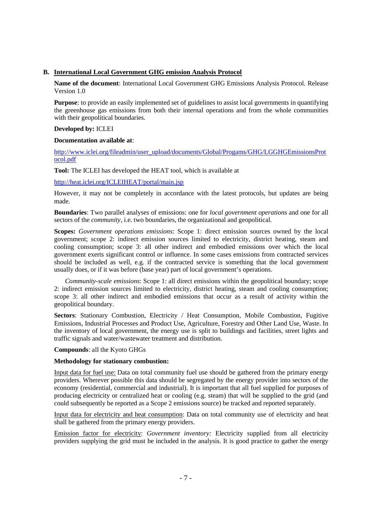## **B. International Local Government GHG emission Analysis Protocol**

**Name of the document**: International Local Government GHG Emissions Analysis Protocol. Release Version 1.0

**Purpose**: to provide an easily implemented set of guidelines to assist local governments in quantifying the greenhouse gas emissions from both their internal operations and from the whole communities with their geopolitical boundaries.

## **Developed by:** ICLEI

## **Documentation available at**:

http://www.iclei.org/fileadmin/user\_upload/documents/Global/Progams/GHG/LGGHGEmissionsProt ocol.pdf

**Tool:** The ICLEI has developed the HEAT tool, which is available at

## http://heat.iclei.org/ICLEIHEAT/portal/main.jsp

However, it may not be completely in accordance with the latest protocols, but updates are being made.

**Boundaries**: Two parallel analyses of emissions: one for *local government operations* and one for all sectors of the *community*, i.e. two boundaries, the organizational and geopolitical.

**Scopes:** *Government operations emissions*: Scope 1: direct emission sources owned by the local government; scope 2: indirect emission sources limited to electricity, district heating, steam and cooling consumption; scope 3: all other indirect and embodied emissions over which the local government exerts significant control or influence. In some cases emissions from contracted services should be included as well, e.g. if the contracted service is something that the local government usually does, or if it was before (base year) part of local government's operations.

*Community-scale emissions*: Scope 1: all direct emissions within the geopolitical boundary; scope 2: indirect emission sources limited to electricity, district heating, steam and cooling consumption; scope 3: all other indirect and embodied emissions that occur as a result of activity within the geopolitical boundary.

**Sectors**: Stationary Combustion, Electricity / Heat Consumption, Mobile Combustion, Fugitive Emissions, Industrial Processes and Product Use, Agriculture, Forestry and Other Land Use, Waste. In the inventory of local government, the energy use is split to buildings and facilities, street lights and traffic signals and water/wastewater treatment and distribution.

## **Compounds**: all the Kyoto GHGs

## **Methodology for stationary combustion:**

Input data for fuel use: Data on total community fuel use should be gathered from the primary energy providers. Wherever possible this data should be segregated by the energy provider into sectors of the economy (residential, commercial and industrial). It is important that all fuel supplied for purposes of producing electricity or centralized heat or cooling (e.g. steam) that will be supplied to the grid (and could subsequently be reported as a Scope 2 emissions source) be tracked and reported separately.

Input data for electricity and heat consumption: Data on total community use of electricity and heat shall be gathered from the primary energy providers.

Emission factor for electricity: *Government inventory:* Electricity supplied from all electricity providers supplying the grid must be included in the analysis. It is good practice to gather the energy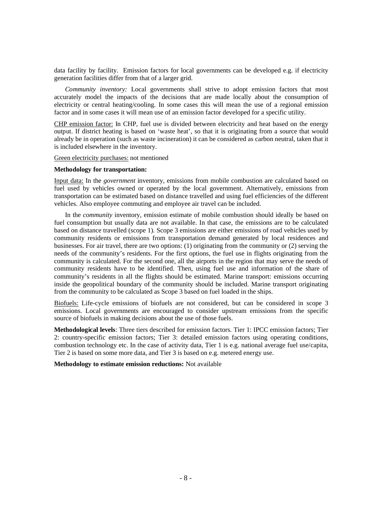data facility by facility. Emission factors for local governments can be developed e.g. if electricity generation facilities differ from that of a larger grid.

*Community inventory:* Local governments shall strive to adopt emission factors that most accurately model the impacts of the decisions that are made locally about the consumption of electricity or central heating/cooling. In some cases this will mean the use of a regional emission factor and in some cases it will mean use of an emission factor developed for a specific utility.

CHP emission factor: In CHP, fuel use is divided between electricity and heat based on the energy output. If district heating is based on 'waste heat', so that it is originating from a source that would already be in operation (such as waste incineration) it can be considered as carbon neutral, taken that it is included elsewhere in the inventory.

Green electricity purchases: not mentioned

#### **Methodology for transportation:**

Input data: In the *government* inventory, emissions from mobile combustion are calculated based on fuel used by vehicles owned or operated by the local government. Alternatively, emissions from transportation can be estimated based on distance travelled and using fuel efficiencies of the different vehicles. Also employee commuting and employee air travel can be included.

In the *community* inventory, emission estimate of mobile combustion should ideally be based on fuel consumption but usually data are not available. In that case, the emissions are to be calculated based on distance travelled (scope 1). Scope 3 emissions are either emissions of road vehicles used by community residents or emissions from transportation demand generated by local residences and businesses. For air travel, there are two options: (1) originating from the community or (2) serving the needs of the community's residents. For the first options, the fuel use in flights originating from the community is calculated. For the second one, all the airports in the region that may serve the needs of community residents have to be identified. Then, using fuel use and information of the share of community's residents in all the flights should be estimated. Marine transport: emissions occurring inside the geopolitical boundary of the community should be included. Marine transport originating from the community to be calculated as Scope 3 based on fuel loaded in the ships.

Biofuels: Life-cycle emissions of biofuels are not considered, but can be considered in scope 3 emissions. Local governments are encouraged to consider upstream emissions from the specific source of biofuels in making decisions about the use of those fuels.

**Methodological levels**: Three tiers described for emission factors. Tier 1: IPCC emission factors; Tier 2: country-specific emission factors; Tier 3: detailed emission factors using operating conditions, combustion technology etc. In the case of activity data, Tier 1 is e.g. national average fuel use/capita, Tier 2 is based on some more data, and Tier 3 is based on e.g. metered energy use.

#### **Methodology to estimate emission reductions:** Not available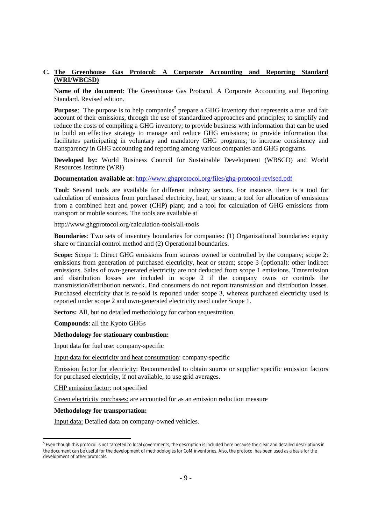## **C. The Greenhouse Gas Protocol: A Corporate Accounting and Reporting Standard (WRI/WBCSD)**

**Name of the document**: The Greenhouse Gas Protocol. A Corporate Accounting and Reporting Standard. Revised edition.

**Purpose**: The purpose is to help companies<sup>5</sup> prepare a GHG inventory that represents a true and fair account of their emissions, through the use of standardized approaches and principles; to simplify and reduce the costs of compiling a GHG inventory; to provide business with information that can be used to build an effective strategy to manage and reduce GHG emissions; to provide information that facilitates participating in voluntary and mandatory GHG programs; to increase consistency and transparency in GHG accounting and reporting among various companies and GHG programs.

**Developed by:** World Business Council for Sustainable Development (WBSCD) and World Resources Institute (WRI)

**Documentation available at**: http://www.ghgprotocol.org/files/ghg-protocol-revised.pdf

**Tool:** Several tools are available for different industry sectors. For instance, there is a tool for calculation of emissions from purchased electricity, heat, or steam; a tool for allocation of emissions from a combined heat and power (CHP) plant; and a tool for calculation of GHG emissions from transport or mobile sources. The tools are available at

http://www.ghgprotocol.org/calculation-tools/all-tools

**Boundaries**: Two sets of inventory boundaries for companies: (1) Organizational boundaries: equity share or financial control method and (2) Operational boundaries.

**Scope:** Scope 1: Direct GHG emissions from sources owned or controlled by the company; scope 2: emissions from generation of purchased electricity, heat or steam; scope 3 (optional): other indirect emissions. Sales of own-generated electricity are not deducted from scope 1 emissions. Transmission and distribution losses are included in scope 2 if the company owns or controls the transmission/distribution network. End consumers do not report transmission and distribution losses. Purchased electricity that is re-sold is reported under scope 3, whereas purchased electricity used is reported under scope 2 and own-generated electricity used under Scope 1.

**Sectors:** All, but no detailed methodology for carbon sequestration.

**Compounds**: all the Kyoto GHGs

#### **Methodology for stationary combustion:**

Input data for fuel use: company-specific

Input data for electricity and heat consumption: company-specific

Emission factor for electricity: Recommended to obtain source or supplier specific emission factors for purchased electricity, if not available, to use grid averages.

CHP emission factor: not specified

Green electricity purchases: are accounted for as an emission reduction measure

#### **Methodology for transportation:**

Input data: Detailed data on company-owned vehicles.

<sup>&</sup>lt;sup>5</sup> Even though this protocol is not targeted to local governments, the description is included here because the clear and detailed descriptions in the document can be useful for the development of methodologies for CoM inventories. Also, the protocol has been used as a basis for the development of other protocols.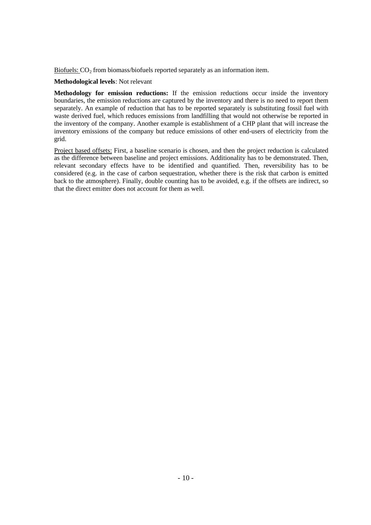Biofuels:  $CO<sub>2</sub>$  from biomass/biofuels reported separately as an information item.

#### **Methodological levels**: Not relevant

**Methodology for emission reductions:** If the emission reductions occur inside the inventory boundaries, the emission reductions are captured by the inventory and there is no need to report them separately. An example of reduction that has to be reported separately is substituting fossil fuel with waste derived fuel, which reduces emissions from landfilling that would not otherwise be reported in the inventory of the company. Another example is establishment of a CHP plant that will increase the inventory emissions of the company but reduce emissions of other end-users of electricity from the grid.

Project based offsets: First, a baseline scenario is chosen, and then the project reduction is calculated as the difference between baseline and project emissions. Additionality has to be demonstrated. Then, relevant secondary effects have to be identified and quantified. Then, reversibility has to be considered (e.g. in the case of carbon sequestration, whether there is the risk that carbon is emitted back to the atmosphere). Finally, double counting has to be avoided, e.g. if the offsets are indirect, so that the direct emitter does not account for them as well.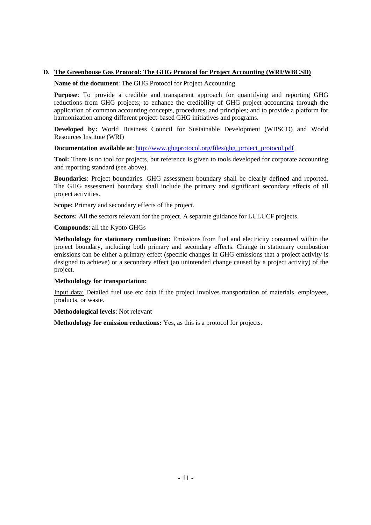## **D. The Greenhouse Gas Protocol: The GHG Protocol for Project Accounting (WRI/WBCSD)**

#### **Name of the document**: The GHG Protocol for Project Accounting

**Purpose**: To provide a credible and transparent approach for quantifying and reporting GHG reductions from GHG projects; to enhance the credibility of GHG project accounting through the application of common accounting concepts, procedures, and principles; and to provide a platform for harmonization among different project-based GHG initiatives and programs.

**Developed by:** World Business Council for Sustainable Development (WBSCD) and World Resources Institute (WRI)

**Documentation available at**: http://www.ghgprotocol.org/files/ghg\_project\_protocol.pdf

**Tool:** There is no tool for projects, but reference is given to tools developed for corporate accounting and reporting standard (see above).

**Boundaries**: Project boundaries. GHG assessment boundary shall be clearly defined and reported. The GHG assessment boundary shall include the primary and significant secondary effects of all project activities.

**Scope:** Primary and secondary effects of the project.

**Sectors:** All the sectors relevant for the project. A separate guidance for LULUCF projects.

**Compounds**: all the Kyoto GHGs

**Methodology for stationary combustion:** Emissions from fuel and electricity consumed within the project boundary, including both primary and secondary effects. Change in stationary combustion emissions can be either a primary effect (specific changes in GHG emissions that a project activity is designed to achieve) or a secondary effect (an unintended change caused by a project activity) of the project.

## **Methodology for transportation:**

Input data: Detailed fuel use etc data if the project involves transportation of materials, employees, products, or waste.

**Methodological levels**: Not relevant

**Methodology for emission reductions:** Yes, as this is a protocol for projects.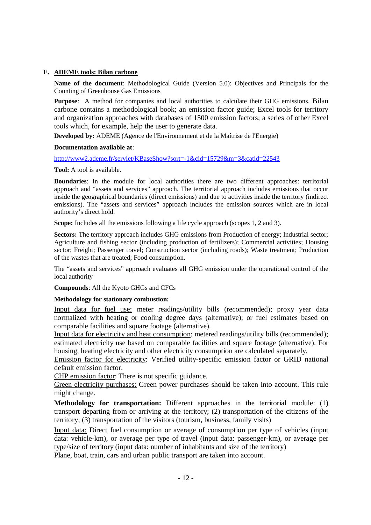## **E. ADEME tools: Bilan carbone**

**Name of the document**: Methodological Guide (Version 5.0): Objectives and Principals for the Counting of Greenhouse Gas Emissions

**Purpose**: A method for companies and local authorities to calculate their GHG emissions. Bilan carbone contains a methodological book; an emission factor guide; Excel tools for territory and organization approaches with databases of 1500 emission factors; a series of other Excel tools which, for example, help the user to generate data.

**Developed by:** ADEME (Agence de l'Environnement et de la Maîtrise de l'Energie)

## **Documentation available at**:

http://www2.ademe.fr/servlet/KBaseShow?sort=-1&cid=15729&m=3&catid=22543

**Tool:** A tool is available.

**Boundaries**: In the module for local authorities there are two different approaches: territorial approach and "assets and services" approach. The territorial approach includes emissions that occur inside the geographical boundaries (direct emissions) and due to activities inside the territory (indirect emissions). The "assets and services" approach includes the emission sources which are in local authority's direct hold.

**Scope:** Includes all the emissions following a life cycle approach (scopes 1, 2 and 3).

Sectors: The territory approach includes GHG emissions from Production of energy; Industrial sector; Agriculture and fishing sector (including production of fertilizers); Commercial activities; Housing sector; Freight; Passenger travel; Construction sector (including roads); Waste treatment; Production of the wastes that are treated; Food consumption.

The "assets and services" approach evaluates all GHG emission under the operational control of the local authority

**Compounds**: All the Kyoto GHGs and CFCs

## **Methodology for stationary combustion:**

Input data for fuel use: meter readings/utility bills (recommended); proxy year data normalized with heating or cooling degree days (alternative); or fuel estimates based on comparable facilities and square footage (alternative).

Input data for electricity and heat consumption: metered readings/utility bills (recommended); estimated electricity use based on comparable facilities and square footage (alternative). For housing, heating electricity and other electricity consumption are calculated separately.

Emission factor for electricity: Verified utility-specific emission factor or GRID national default emission factor.

CHP emission factor: There is not specific guidance.

Green electricity purchases: Green power purchases should be taken into account. This rule might change.

**Methodology for transportation:** Different approaches in the territorial module: (1) transport departing from or arriving at the territory; (2) transportation of the citizens of the territory; (3) transportation of the visitors (tourism, business, family visits)

Input data: Direct fuel consumption or average of consumption per type of vehicles (input data: vehicle-km), or average per type of travel (input data: passenger-km), or average per type/size of territory (input data: number of inhabitants and size of the territory) Plane, boat, train, cars and urban public transport are taken into account.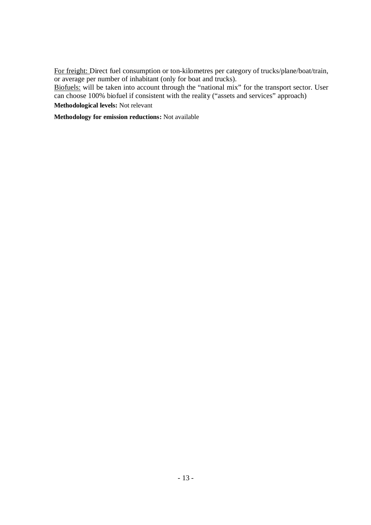For freight: Direct fuel consumption or ton-kilometres per category of trucks/plane/boat/train, or average per number of inhabitant (only for boat and trucks).

Biofuels: will be taken into account through the "national mix" for the transport sector. User can choose 100% biofuel if consistent with the reality ("assets and services" approach)

**Methodological levels:** Not relevant

**Methodology for emission reductions:** Not available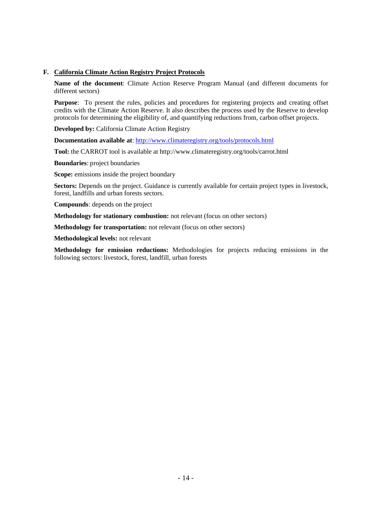## **F. California Climate Action Registry Project Protocols**

**Name of the document**: Climate Action Reserve Program Manual (and different documents for different sectors)

**Purpose**: To present the rules, policies and procedures for registering projects and creating offset credits with the Climate Action Reserve. It also describes the process used by the Reserve to develop protocols for determining the eligibility of, and quantifying reductions from, carbon offset projects.

**Developed by: California Climate Action Registry** 

**Documentation available at**: http://www.climateregistry.org/tools/protocols.html

**Tool:** the CARROT tool is available at http://www.climateregistry.org/tools/carrot.html

**Boundaries**: project boundaries

**Scope:** emissions inside the project boundary

**Sectors:** Depends on the project. Guidance is currently available for certain project types in livestock, forest, landfills and urban forests sectors.

**Compounds**: depends on the project

**Methodology for stationary combustion:** not relevant (focus on other sectors)

**Methodology for transportation:** not relevant (focus on other sectors)

**Methodological levels:** not relevant

**Methodology for emission reductions:** Methodologies for projects reducing emissions in the following sectors: livestock, forest, landfill, urban forests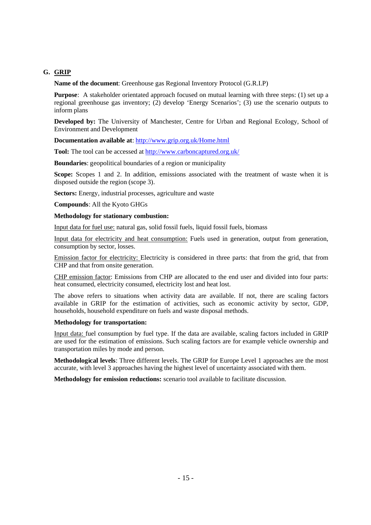## **G. GRIP**

**Name of the document**: Greenhouse gas Regional Inventory Protocol (G.R.I.P)

**Purpose**: A stakeholder orientated approach focused on mutual learning with three steps: (1) set up a regional greenhouse gas inventory; (2) develop 'Energy Scenarios'; (3) use the scenario outputs to inform plans

**Developed by:** The University of Manchester, Centre for Urban and Regional Ecology, School of Environment and Development

**Documentation available at**: http://www.grip.org.uk/Home.html

**Tool:** The tool can be accessed at http://www.carboncaptured.org.uk/

**Boundaries**: geopolitical boundaries of a region or municipality

**Scope:** Scopes 1 and 2. In addition, emissions associated with the treatment of waste when it is disposed outside the region (scope 3).

**Sectors:** Energy, industrial processes, agriculture and waste

**Compounds**: All the Kyoto GHGs

**Methodology for stationary combustion:** 

Input data for fuel use: natural gas, solid fossil fuels, liquid fossil fuels, biomass

Input data for electricity and heat consumption: Fuels used in generation, output from generation, consumption by sector, losses.

Emission factor for electricity: Electricity is considered in three parts: that from the grid, that from CHP and that from onsite generation.

CHP emission factor: Emissions from CHP are allocated to the end user and divided into four parts: heat consumed, electricity consumed, electricity lost and heat lost.

The above refers to situations when activity data are available. If not, there are scaling factors available in GRIP for the estimation of activities, such as economic activity by sector, GDP, households, household expenditure on fuels and waste disposal methods.

## **Methodology for transportation:**

Input data: fuel consumption by fuel type. If the data are available, scaling factors included in GRIP are used for the estimation of emissions. Such scaling factors are for example vehicle ownership and transportation miles by mode and person.

**Methodological levels**: Three different levels. The GRIP for Europe Level 1 approaches are the most accurate, with level 3 approaches having the highest level of uncertainty associated with them.

**Methodology for emission reductions:** scenario tool available to facilitate discussion.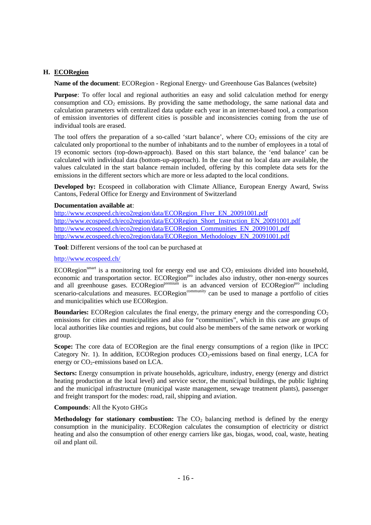## **H. ECORegion**

**Name of the document**: ECORegion - Regional Energy- und Greenhouse Gas Balances (website)

**Purpose**: To offer local and regional authorities an easy and solid calculation method for energy consumption and  $CO<sub>2</sub>$  emissions. By providing the same methodology, the same national data and calculation parameters with centralized data update each year in an internet-based tool, a comparison of emission inventories of different cities is possible and inconsistencies coming from the use of individual tools are erased.

The tool offers the preparation of a so-called 'start balance', where  $CO_2$  emissions of the city are calculated only proportional to the number of inhabitants and to the number of employees in a total of 19 economic sectors (top-down-approach). Based on this start balance, the 'end balance' can be calculated with individual data (bottom-up-approach). In the case that no local data are available, the values calculated in the start balance remain included, offering by this complete data sets for the emissions in the different sectors which are more or less adapted to the local conditions.

**Developed by:** Ecospeed in collaboration with Climate Alliance, European Energy Award, Swiss Cantons, Federal Office for Energy and Environment of Switzerland

#### **Documentation available at**:

http://www.ecospeed.ch/eco2region/data/ECORegion\_Flyer\_EN\_20091001.pdf http://www.ecospeed.ch/eco2region/data/ECORegion\_Short\_Instruction\_EN\_20091001.pdf http://www.ecospeed.ch/eco2region/data/ECORegion\_Communities\_EN\_20091001.pdf http://www.ecospeed.ch/eco2region/data/ECORegion\_Methodology\_EN\_20091001.pdf

**Tool**: Different versions of the tool can be purchased at

#### http://www.ecospeed.ch/

ECORegion<sup>smart</sup> is a monitoring tool for energy end use and  $CO_2$  emissions divided into household, economic and transportation sector. ECORegion<sup>pro</sup> includes also industry, other non-energy sources and all greenhouse gases. ECORegion<sup>premium</sup> is an advanced version of ECORegion<sup>pro</sup> including scenario-calculations and measures. ECORegion<sup>community</sup> can be used to manage a portfolio of cities and municipalities which use ECORegion.

**Boundaries:** ECORegion calculates the final energy, the primary energy and the corresponding CO<sub>2</sub> emissions for cities and municipalities and also for "communities", which in this case are groups of local authorities like counties and regions, but could also be members of the same network or working group.

**Scope:** The core data of ECORegion are the final energy consumptions of a region (like in IPCC Category Nr. 1). In addition, ECORegion produces  $CO<sub>2</sub>$ -emissions based on final energy, LCA for energy or  $CO_2$ -emissions based on LCA.

**Sectors:** Energy consumption in private households, agriculture, industry, energy (energy and district heating production at the local level) and service sector, the municipal buildings, the public lighting and the municipal infrastructure (municipal waste management, sewage treatment plants), passenger and freight transport for the modes: road, rail, shipping and aviation.

## **Compounds**: All the Kyoto GHGs

**Methodology for stationary combustion:** The  $CO<sub>2</sub>$  balancing method is defined by the energy consumption in the municipality. ECORegion calculates the consumption of electricity or district heating and also the consumption of other energy carriers like gas, biogas, wood, coal, waste, heating oil and plant oil.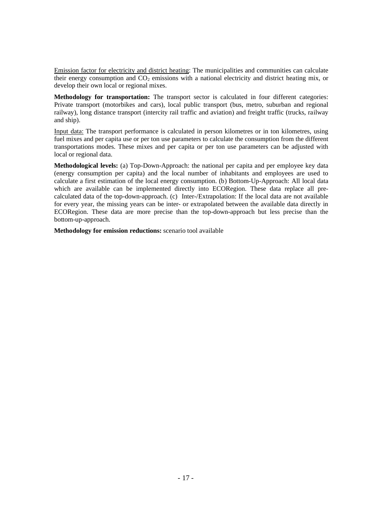Emission factor for electricity and district heating: The municipalities and communities can calculate their energy consumption and  $CO<sub>2</sub>$  emissions with a national electricity and district heating mix, or develop their own local or regional mixes.

**Methodology for transportation:** The transport sector is calculated in four different categories: Private transport (motorbikes and cars), local public transport (bus, metro, suburban and regional railway), long distance transport (intercity rail traffic and aviation) and freight traffic (trucks, railway and ship).

Input data: The transport performance is calculated in person kilometres or in ton kilometres, using fuel mixes and per capita use or per ton use parameters to calculate the consumption from the different transportations modes. These mixes and per capita or per ton use parameters can be adjusted with local or regional data.

**Methodological levels:** (a) Top-Down-Approach: the national per capita and per employee key data (energy consumption per capita) and the local number of inhabitants and employees are used to calculate a first estimation of the local energy consumption. (b) Bottom-Up-Approach: All local data which are available can be implemented directly into ECORegion. These data replace all precalculated data of the top-down-approach. (c) Inter-/Extrapolation: If the local data are not available for every year, the missing years can be inter- or extrapolated between the available data directly in ECORegion. These data are more precise than the top-down-approach but less precise than the bottom-up-approach.

**Methodology for emission reductions:** scenario tool available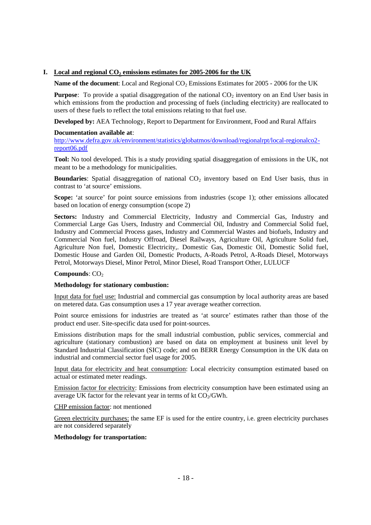## **I. Local and regional CO<sup>2</sup> emissions estimates for 2005-2006 for the UK**

**Name of the document:** Local and Regional CO<sub>2</sub> Emissions Estimates for 2005 - 2006 for the UK

**Purpose**: To provide a spatial disaggregation of the national CO<sub>2</sub> inventory on an End User basis in which emissions from the production and processing of fuels (including electricity) are reallocated to users of these fuels to reflect the total emissions relating to that fuel use.

**Developed by:** AEA Technology, Report to Department for Environment, Food and Rural Affairs

#### **Documentation available at**:

http://www.defra.gov.uk/environment/statistics/globatmos/download/regionalrpt/local-regionalco2 report06.pdf

**Tool:** No tool developed. This is a study providing spatial disaggregation of emissions in the UK, not meant to be a methodology for municipalities.

**Boundaries**: Spatial disaggregation of national CO<sub>2</sub> inventory based on End User basis, thus in contrast to 'at source' emissions.

**Scope:** 'at source' for point source emissions from industries (scope 1); other emissions allocated based on location of energy consumption (scope 2)

**Sectors:** Industry and Commercial Electricity, Industry and Commercial Gas, Industry and Commercial Large Gas Users, Industry and Commercial Oil, Industry and Commercial Solid fuel, Industry and Commercial Process gases, Industry and Commercial Wastes and biofuels, Industry and Commercial Non fuel, Industry Offroad, Diesel Railways, Agriculture Oil, Agriculture Solid fuel, Agriculture Non fuel, Domestic Electricity,. Domestic Gas, Domestic Oil, Domestic Solid fuel, Domestic House and Garden Oil, Domestic Products, A-Roads Petrol, A-Roads Diesel, Motorways Petrol, Motorways Diesel, Minor Petrol, Minor Diesel, Road Transport Other, LULUCF

## **Compounds**: CO<sub>2</sub>

## **Methodology for stationary combustion:**

Input data for fuel use: Industrial and commercial gas consumption by local authority areas are based on metered data. Gas consumption uses a 17 year average weather correction.

Point source emissions for industries are treated as 'at source' estimates rather than those of the product end user. Site-specific data used for point-sources.

Emissions distribution maps for the small industrial combustion, public services, commercial and agriculture (stationary combustion) are based on data on employment at business unit level by Standard Industrial Classification (SIC) code; and on BERR Energy Consumption in the UK data on industrial and commercial sector fuel usage for 2005.

Input data for electricity and heat consumption: Local electricity consumption estimated based on actual or estimated meter readings.

Emission factor for electricity: Emissions from electricity consumption have been estimated using an average UK factor for the relevant year in terms of kt  $CO<sub>2</sub>/GWh$ .

CHP emission factor: not mentioned

Green electricity purchases: the same EF is used for the entire country, i.e. green electricity purchases are not considered separately

## **Methodology for transportation:**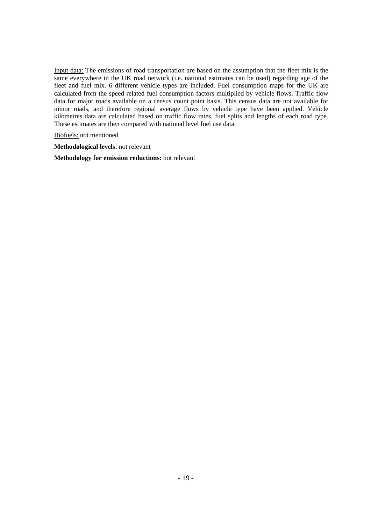Input data: The emissions of road transportation are based on the assumption that the fleet mix is the same everywhere in the UK road network (i.e. national estimates can be used) regarding age of the fleet and fuel mix. 6 different vehicle types are included. Fuel consumption maps for the UK are calculated from the speed related fuel consumption factors multiplied by vehicle flows. Traffic flow data for major roads available on a census count point basis. This census data are not available for minor roads, and therefore regional average flows by vehicle type have been applied. Vehicle kilometres data are calculated based on traffic flow rates, fuel splits and lengths of each road type. These estimates are then compared with national level fuel use data.

Biofuels: not mentioned

**Methodological levels**: not relevant

**Methodology for emission reductions:** not relevant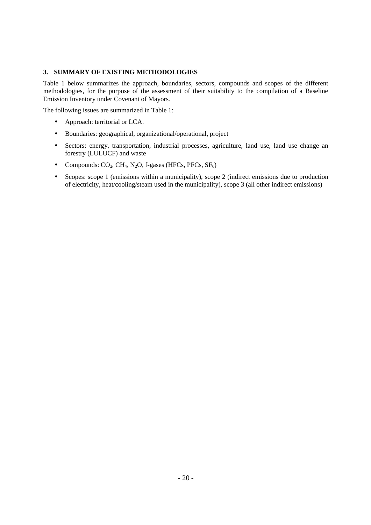## **3. SUMMARY OF EXISTING METHODOLOGIES**

Table 1 below summarizes the approach, boundaries, sectors, compounds and scopes of the different methodologies, for the purpose of the assessment of their suitability to the compilation of a Baseline Emission Inventory under Covenant of Mayors.

The following issues are summarized in Table 1:

- Approach: territorial or LCA.
- Boundaries: geographical, organizational/operational, project
- Sectors: energy, transportation, industrial processes, agriculture, land use, land use change an forestry (LULUCF) and waste
- Compounds:  $CO_2$ ,  $CH_4$ , N<sub>2</sub>O, f-gases (HFCs, PFCs, SF<sub>6</sub>)
- Scopes: scope 1 (emissions within a municipality), scope 2 (indirect emissions due to production of electricity, heat/cooling/steam used in the municipality), scope 3 (all other indirect emissions)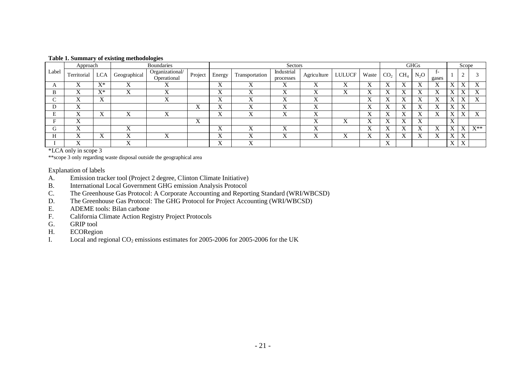|  | Table 1. Summary of existing methodologies |  |  |  |  |
|--|--------------------------------------------|--|--|--|--|
|--|--------------------------------------------|--|--|--|--|

|         | Approach    |                             | $\sim$                               | $\overline{\phantom{a}}$<br><b>Boundaries</b> |                           |                  | Sectors        |                           |                           |               |           | <b>GHGs</b>               |        |        |                    |           | Scope                     |                   |  |
|---------|-------------|-----------------------------|--------------------------------------|-----------------------------------------------|---------------------------|------------------|----------------|---------------------------|---------------------------|---------------|-----------|---------------------------|--------|--------|--------------------|-----------|---------------------------|-------------------|--|
| Label   | Territorial | <b>LCA</b>                  | Geographical                         | Organizational/<br>Operational                | Project                   | Energy           | Transportation | Industrial<br>processes   | Agriculture               | <b>LULUCF</b> | Waste     | CO <sub>2</sub>           | $CH_4$ | $N_2O$ | <u>. </u><br>gases |           |                           |                   |  |
| л       |             | $\mathbf{V}^*$<br>$\Lambda$ | ▾<br>∡                               | ∡                                             |                           | T.Z<br>$\Lambda$ |                | $\mathbf{x}$<br>$\Lambda$ | Λ                         |               | л         | $\mathbf{v}$<br>$\Lambda$ |        | Λ      | л                  | $\Lambda$ | △                         |                   |  |
| B       |             | $\mathbf{V}^*$<br>Λ         | ∡                                    |                                               |                           | Λ                |                | $\mathbf{v}$<br>$\Lambda$ | $\Lambda$                 |               |           | $\Lambda$                 |        | л      |                    | ∡         |                           |                   |  |
| ◡       |             | $\mathbf{x}$<br>$\Lambda$   |                                      |                                               |                           | x,<br>Δ          |                | $\mathbf{x}$<br>$\Lambda$ | $\mathbf{x}$              |               |           | $\mathbf{v}$<br>л         |        | л      |                    | л         | $\mathbf{x}$              |                   |  |
| D       | $\Lambda$   |                             |                                      |                                               | $\Lambda$                 | л                |                | 72<br>$\Lambda$           | $\Lambda$                 |               |           | $\Lambda$                 |        | л      | л                  | $\Lambda$ | $\mathbf{x}$              |                   |  |
| E       |             | △                           | ٦z<br>Λ                              | △                                             |                           | x,<br>л          |                | $\mathbf{x}$<br>$\Lambda$ | $\Lambda$                 |               |           | $\mathbf{v}$<br>л         |        | ◠      | л                  | ∡         |                           |                   |  |
| Е.      | ∡           |                             |                                      |                                               | $\mathbf{x}$<br>$\Lambda$ |                  |                |                           | $\Lambda$                 |               | ∡         | $\Lambda$                 |        | л      |                    | ∡         |                           |                   |  |
| G       | ٦z<br>∡     |                             | $\overline{\mathbf{x}}$<br>$\Lambda$ |                                               |                           | T.Z<br>$\Lambda$ |                | $\mathbf{v}$<br>$\Lambda$ | $\mathbf{x}$<br>$\Lambda$ |               | $\Lambda$ | $\mathbf{v}$<br>$\Lambda$ |        | л      | л                  | л         | $\mathbf v$               | $\mathbf{V}^{**}$ |  |
| TT<br>п |             | △                           | $\overline{V}$<br>∡                  | $\mathbf{x}$<br>△                             |                           | x,<br>л          |                | $\mathbf{v}$<br>$\Lambda$ | $\Lambda$                 |               | . .<br>л  | $\Lambda$                 |        | л      | л                  | $\Lambda$ | $\mathbf{x}$<br>$\Delta$  |                   |  |
|         | ∡           |                             | ٦z<br>$\Lambda$                      |                                               |                           | $\Lambda$        |                |                           |                           |               |           | $\mathbf{x}$<br>$\Lambda$ |        |        |                    | $\Lambda$ | $\mathbf{v}$<br>$\Lambda$ |                   |  |

\*LCA only in scope 3

\*\*scope 3 only regarding waste disposal outside the geographical area

Explanation of labels

- A. Emission tracker tool (Project 2 degree, Clinton Climate Initiative)<br>B. International Local Government GHG emission Analysis Protocol
- B. International Local Government GHG emission Analysis Protocol<br>C. The Greenhouse Gas Protocol: A Corporate Accounting and Repor
- C. The Greenhouse Gas Protocol: A Corporate Accounting and Reporting Standard (WRI/WBCSD)<br>D. The Greenhouse Gas Protocol: The GHG Protocol for Project Accounting (WRI/WBCSD)
- The Greenhouse Gas Protocol: The GHG Protocol for Project Accounting (WRI/WBCSD)
- E. ADEME tools: Bilan carbone<br>F. California Climate Action Reg
- California Climate Action Registry Project Protocols
- G. GRIP tool<br>H. ECORegio
- **ECORegion**
- I. Local and regional  $CO_2$  emissions estimates for 2005-2006 for 2005-2006 for the UK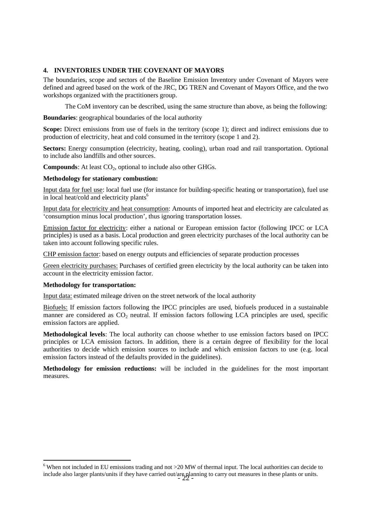## **4. INVENTORIES UNDER THE COVENANT OF MAYORS**

The boundaries, scope and sectors of the Baseline Emission Inventory under Covenant of Mayors were defined and agreed based on the work of the JRC, DG TREN and Covenant of Mayors Office, and the two workshops organized with the practitioners group.

The CoM inventory can be described, using the same structure than above, as being the following:

**Boundaries**: geographical boundaries of the local authority

**Scope:** Direct emissions from use of fuels in the territory (scope 1); direct and indirect emissions due to production of electricity, heat and cold consumed in the territory (scope 1 and 2).

**Sectors:** Energy consumption (electricity, heating, cooling), urban road and rail transportation. Optional to include also landfills and other sources.

**Compounds**: At least CO<sub>2</sub>, optional to include also other GHGs.

#### **Methodology for stationary combustion:**

Input data for fuel use: local fuel use (for instance for building-specific heating or transportation), fuel use in local heat/cold and electricity plants $<sup>6</sup>$ </sup>

Input data for electricity and heat consumption: Amounts of imported heat and electricity are calculated as 'consumption minus local production', thus ignoring transportation losses.

Emission factor for electricity: either a national or European emission factor (following IPCC or LCA principles) is used as a basis. Local production and green electricity purchases of the local authority can be taken into account following specific rules.

CHP emission factor: based on energy outputs and efficiencies of separate production processes

Green electricity purchases: Purchases of certified green electricity by the local authority can be taken into account in the electricity emission factor.

#### **Methodology for transportation:**

Input data: estimated mileage driven on the street network of the local authority

Biofuels: If emission factors following the IPCC principles are used, biofuels produced in a sustainable manner are considered as  $CO<sub>2</sub>$  neutral. If emission factors following LCA principles are used, specific emission factors are applied.

**Methodological levels**: The local authority can choose whether to use emission factors based on IPCC principles or LCA emission factors. In addition, there is a certain degree of flexibility for the local authorities to decide which emission sources to include and which emission factors to use (e.g. local emission factors instead of the defaults provided in the guidelines).

**Methodology for emission reductions:** will be included in the guidelines for the most important measures.

include also larger plants/units if they have carried out/are planning to carry out measures in these plants or units. <sup>6</sup> When not included in EU emissions trading and not >20 MW of thermal input. The local authorities can decide to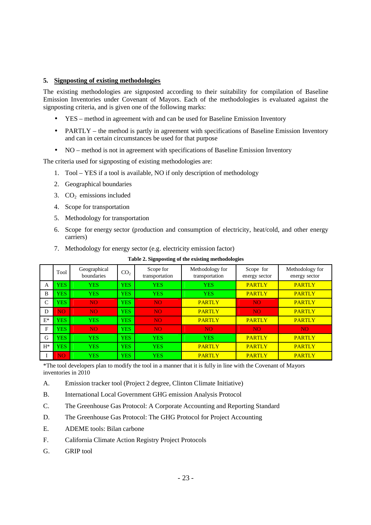## **5. Signposting of existing methodologies**

The existing methodologies are signposted according to their suitability for compilation of Baseline Emission Inventories under Covenant of Mayors. Each of the methodologies is evaluated against the signposting criteria, and is given one of the following marks:

- YES method in agreement with and can be used for Baseline Emission Inventory
- PARTLY the method is partly in agreement with specifications of Baseline Emission Inventory and can in certain circumstances be used for that purpose
- NO method is not in agreement with specifications of Baseline Emission Inventory

The criteria used for signposting of existing methodologies are:

- 1. Tool YES if a tool is available, NO if only description of methodology
- 2. Geographical boundaries
- 3.  $CO<sub>2</sub>$  emissions included
- 4. Scope for transportation
- 5. Methodology for transportation
- 6. Scope for energy sector (production and consumption of electricity, heat/cold, and other energy carriers)
- 7. Methodology for energy sector (e.g. electricity emission factor)

|       |            |                            |                 | . .                         | $\bf -$                           | $\circ$                    |                                  |
|-------|------------|----------------------------|-----------------|-----------------------------|-----------------------------------|----------------------------|----------------------------------|
|       | Tool       | Geographical<br>boundaries | CO <sub>2</sub> | Scope for<br>transportation | Methodology for<br>transportation | Scope for<br>energy sector | Methodology for<br>energy sector |
| A     | <b>YES</b> | <b>YES</b>                 | <b>YES</b>      | <b>YES</b>                  | <b>YES</b>                        | <b>PARTLY</b>              | <b>PARTLY</b>                    |
| B     | <b>YES</b> | <b>YES</b>                 | <b>YES</b>      | <b>YES</b>                  | <b>YES</b>                        | <b>PARTLY</b>              | <b>PARTLY</b>                    |
| C     | <b>YES</b> | <b>NO</b>                  | <b>YES</b>      | N <sub>O</sub>              | <b>PARTLY</b>                     | NO <sub>1</sub>            | <b>PARTLY</b>                    |
| D     | NO.        | NO.                        | <b>YES</b>      | NO <sub>1</sub>             | <b>PARTLY</b>                     | NO <sub>1</sub>            | <b>PARTLY</b>                    |
| $E^*$ | <b>YES</b> | <b>YES</b>                 | <b>YES</b>      | NO <sub>1</sub>             | <b>PARTLY</b>                     | <b>PARTLY</b>              | <b>PARTLY</b>                    |
| F     | <b>YES</b> | N <sub>O</sub>             | <b>YES</b>      | NO.                         | N <sub>O</sub>                    | NO <sub>1</sub>            | N <sub>O</sub>                   |
| G     | <b>YES</b> | <b>YES</b>                 | <b>YES</b>      | <b>YES</b>                  | <b>YES</b>                        | <b>PARTLY</b>              | <b>PARTLY</b>                    |
| $H^*$ | <b>YES</b> | <b>YES</b>                 | <b>YES</b>      | <b>YES</b>                  | <b>PARTLY</b>                     | <b>PARTLY</b>              | <b>PARTLY</b>                    |
|       | NO.        | <b>YES</b>                 | <b>YES</b>      | <b>YES</b>                  | <b>PARTLY</b>                     | <b>PARTLY</b>              | <b>PARTLY</b>                    |

**Table 2. Signposting of the existing methodologies**

\*The tool developers plan to modify the tool in a manner that it is fully in line with the Covenant of Mayors inventories in 2010

- A. Emission tracker tool (Project 2 degree, Clinton Climate Initiative)
- B. International Local Government GHG emission Analysis Protocol
- C. The Greenhouse Gas Protocol: A Corporate Accounting and Reporting Standard
- D. The Greenhouse Gas Protocol: The GHG Protocol for Project Accounting
- E. ADEME tools: Bilan carbone
- F. California Climate Action Registry Project Protocols
- G. GRIP tool